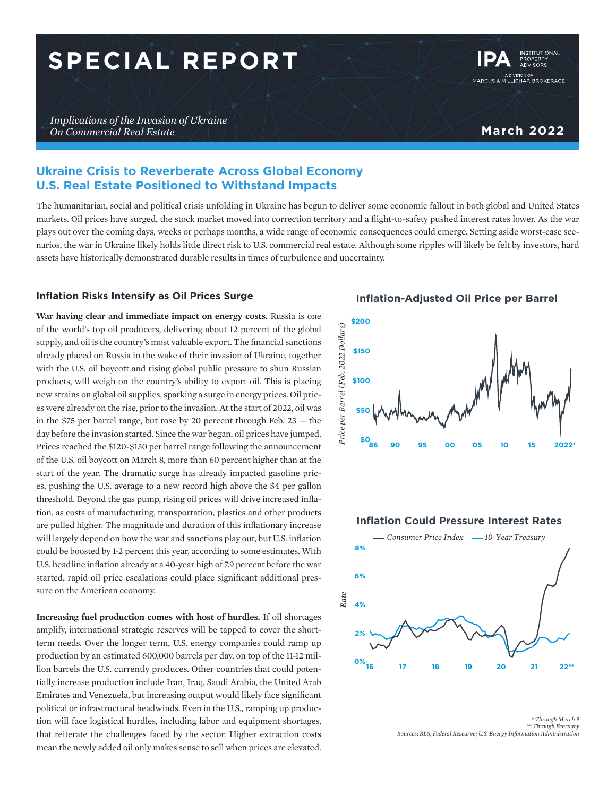# **SPECIAL REPORT**

*Implications of the Invasion of Ukraine On Commercial Real Estate* **March 2022** 

## **Ukraine Crisis to Reverberate Across Global Economy U.S. Real Estate Positioned to Withstand Impacts**

The humanitarian, social and political crisis unfolding in Ukraine has begun to deliver some economic fallout in both global and United States markets. Oil prices have surged, the stock market moved into correction territory and a flight-to-safety pushed interest rates lower. As the war plays out over the coming days, weeks or perhaps months, a wide range of economic consequences could emerge. Setting aside worst-case scenarios, the war in Ukraine likely holds little direct risk to U.S. commercial real estate. Although some ripples will likely be felt by investors, hard assets have historically demonstrated durable results in times of turbulence and uncertainty.

#### **Inflation Risks Intensify as Oil Prices Surge**

are pulled higher. The magnitude and duration of this inflationary increase **\$150** started, rapid oil price escalations could place significant additional pres-**EXECUTE OF EXECUTE OF A 2000** COULD be boosted by 1-2 percent this year, according to some estimates. With **War having clear and immediate impact on energy costs.** Russia is one of the world's top oil producers, delivering about 12 percent of the global supply, and oil is the country's most valuable export. The financial sanctions already placed on Russia in the wake of their invasion of Ukraine, together with the U.S. oil boycott and rising global public pressure to shun Russian products, will weigh on the country's ability to export oil. This is placing new strains on global oil supplies, sparking a surge in energy prices. Oil prices were already on the rise, prior to the invasion. At the start of 2022, oil was in the \$75 per barrel range, but rose by 20 percent through Feb. 23 — the day before the invasion started. Since the war began, oil prices have jumped. Prices reached the \$120-\$130 per barrel range following the announcement of the U.S. oil boycott on March 8, more than 60 percent higher than at the start of the year. The dramatic surge has already impacted gasoline prices, pushing the U.S. average to a new record high above the \$4 per gallon threshold. Beyond the gas pump, rising oil prices will drive increased inflation, as costs of manufacturing, transportation, plastics and other products will largely depend on how the war and sanctions play out, but U.S. inflation U.S. headline inflation already at a 40-year high of 7.9 percent before the war sure on the American economy.

*Price per Barrel (Feb. 2022 Dollars)* **\$0 86 90 95 00 05 10 15 2022\*** lion barrels the U.S. currently produces. Other countries that could potenamplify, international strategic reserves will be tapped to cover the short-**Increasing fuel production comes with host of hurdles.** If oil shortages term needs. Over the longer term, U.S. energy companies could ramp up production by an estimated 600,000 barrels per day, on top of the 11-12 miltially increase production include Iran, Iraq, Saudi Arabia, the United Arab Emirates and Venezuela, but increasing output would likely face significant political or infrastructural headwinds. Even in the U.S., ramping up production will face logistical hurdles, including labor and equipment shortages, that reiterate the challenges faced by the sector. Higher extraction costs mean the newly added oil only makes sense to sell when prices are elevated.



*\* Through March 9 \*\* Through February Sources: BLS; Federal Researve; U.S. Energy Information Administration*

A DIVISION OF MARCUS & MILLICHAP, BROKERAGE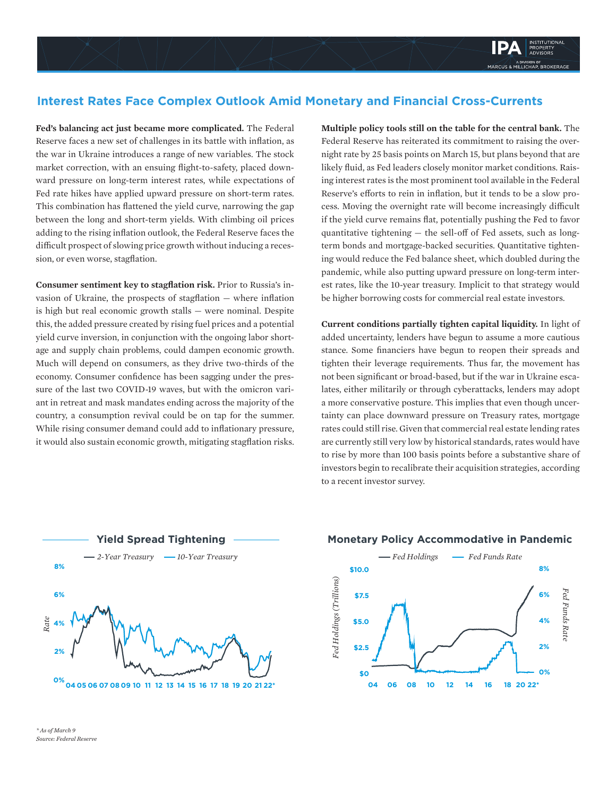## **Interest Rates Face Complex Outlook Amid Monetary and Financial Cross-Currents**

**Fed's balancing act just became more complicated.** The Federal Reserve faces a new set of challenges in its battle with inflation, as the war in Ukraine introduces a range of new variables. The stock market correction, with an ensuing flight-to-safety, placed downward pressure on long-term interest rates, while expectations of Fed rate hikes have applied upward pressure on short-term rates. This combination has flattened the yield curve, narrowing the gap between the long and short-term yields. With climbing oil prices adding to the rising inflation outlook, the Federal Reserve faces the difficult prospect of slowing price growth without inducing a recession, or even worse, stagflation.

**Consumer sentiment key to stagflation risk.** Prior to Russia's invasion of Ukraine, the prospects of stagflation — where inflation is high but real economic growth stalls — were nominal. Despite this, the added pressure created by rising fuel prices and a potential yield curve inversion, in conjunction with the ongoing labor shortage and supply chain problems, could dampen economic growth. Much will depend on consumers, as they drive two-thirds of the economy. Consumer confidence has been sagging under the pressure of the last two COVID-19 waves, but with the omicron variant in retreat and mask mandates ending across the majority of the country, a consumption revival could be on tap for the summer. While rising consumer demand could add to inflationary pressure, it would also sustain economic growth, mitigating stagflation risks.

**Multiple policy tools still on the table for the central bank.** The Federal Reserve has reiterated its commitment to raising the overnight rate by 25 basis points on March 15, but plans beyond that are likely fluid, as Fed leaders closely monitor market conditions. Raising interest rates is the most prominent tool available in the Federal Reserve's efforts to rein in inflation, but it tends to be a slow process. Moving the overnight rate will become increasingly difficult if the yield curve remains flat, potentially pushing the Fed to favor quantitative tightening — the sell-off of Fed assets, such as longterm bonds and mortgage-backed securities. Quantitative tightening would reduce the Fed balance sheet, which doubled during the pandemic, while also putting upward pressure on long-term interest rates, like the 10-year treasury. Implicit to that strategy would be higher borrowing costs for commercial real estate investors.

**Current conditions partially tighten capital liquidity.** In light of added uncertainty, lenders have begun to assume a more cautious stance. Some financiers have begun to reopen their spreads and tighten their leverage requirements. Thus far, the movement has not been significant or broad-based, but if the war in Ukraine escalates, either militarily or through cyberattacks, lenders may adopt a more conservative posture. This implies that even though uncertainty can place downward pressure on Treasury rates, mortgage rates could still rise. Given that commercial real estate lending rates are currently still very low by historical standards, rates would have to rise by more than 100 basis points before a substantive share of investors begin to recalibrate their acquisition strategies, according to a recent investor survey.



### **Monetary Policy Accommodative in Pandemic**

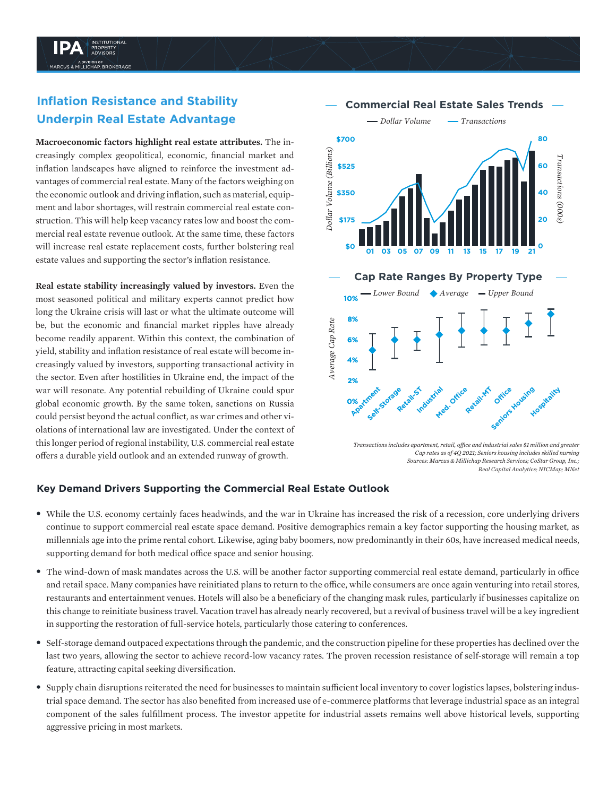## **Inflation Resistance and Stability Underpin Real Estate Advantage**

**Macroeconomic factors highlight real estate attributes.** The increasingly complex geopolitical, economic, financial market and inflation landscapes have aligned to reinforce the investment advantages of commercial real estate. Many of the factors weighing on the economic outlook and driving inflation, such as material, equipment and labor shortages, will restrain commercial real estate construction. This will help keep vacancy rates low and boost the commercial real estate revenue outlook. At the same time, these factors will increase real estate replacement costs, further bolstering real estate values and supporting the sector's inflation resistance.

de<br>*Deli*<br>*Die*<br>Alext **Commercial Real Estate Sales Trends** most seasoned political and military experts cannot predict how *Transactions (000s)* **\$0 0** could persist beyond the actual conflict, as war crimes and other vi-**\$175 20** war will resonate. Any potential rebuilding of Ukraine could spur **\$350 40** creasingly valued by investors, supporting transactional activity in become readily apparent. Within this context, the combination of long the Ukraine crisis will last or what the ultimate outcome will **01 03 05 07 09 11 13 15 17 19 21** olations of international law are investigated. Under the context of **Real estate stability increasingly valued by investors.** Even the be, but the economic and financial market ripples have already yield, stability and inflation resistance of real estate will become inthe sector. Even after hostilities in Ukraine end, the impact of the global economic growth. By the same token, sanctions on Russia this longer period of regional instability, U.S. commercial real estate offers a durable yield outlook and an extended runway of growth. **Examply complex geopolitical, economic, financial market and<br>
markaton landscaps have aligned to reinforce the investment ad-<br>
sumatges of commercial real estate. Many of the factors weighing on<br>
the conomic outlook and d** 



*Transactions includes apartment, retail, office and industrial sales \$1 million and greater Cap rates as of 4Q 2021; Seniors housing includes skilled nursing Sources: Marcus & Millichap Research Services; CoStar Group, Inc.; Real Capital Analytics; NICMap; MNet*

- While the U.S. economy certainly faces headwinds, and the war in Ukraine has increased the risk of a recession, core underlying drivers continue to support commercial real estate space demand. Positive demographics remain a key factor supporting the housing market, as millennials age into the prime rental cohort. Likewise, aging baby boomers, now predominantly in their 60s, have increased medical needs, supporting demand for both medical office space and senior housing.
- The wind-down of mask mandates across the U.S. will be another factor supporting commercial real estate demand, particularly in office and retail space. Many companies have reinitiated plans to return to the office, while consumers are once again venturing into retail stores, restaurants and entertainment venues. Hotels will also be a beneficiary of the changing mask rules, particularly if businesses capitalize on this change to reinitiate business travel. Vacation travel has already nearly recovered, but a revival of business travel will be a key ingredient in supporting the restoration of full-service hotels, particularly those catering to conferences.
- Self-storage demand outpaced expectations through the pandemic, and the construction pipeline for these properties has declined over the last two years, allowing the sector to achieve record-low vacancy rates. The proven recession resistance of self-storage will remain a top feature, attracting capital seeking diversification.
- Supply chain disruptions reiterated the need for businesses to maintain sufficient local inventory to cover logistics lapses, bolstering industrial space demand. The sector has also benefited from increased use of e-commerce platforms that leverage industrial space as an integral component of the sales fulfillment process. The investor appetite for industrial assets remains well above historical levels, supporting aggressive pricing in most markets.